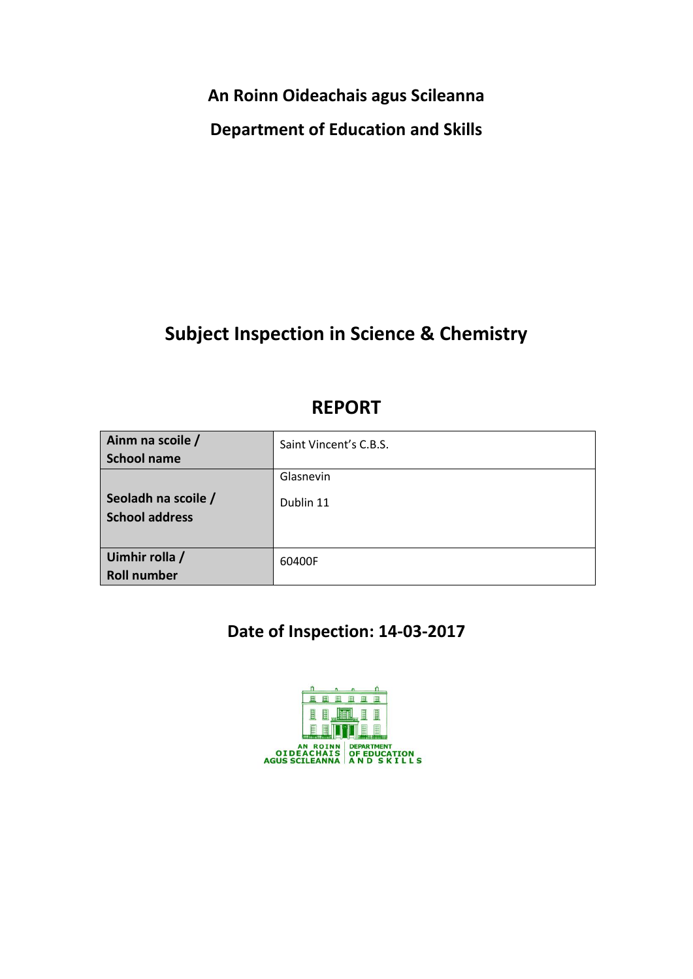**An Roinn Oideachais agus Scileanna**

**Department of Education and Skills**

# **Subject Inspection in Science & Chemistry**

# **REPORT**

| Ainm na scoile /<br><b>School name</b>       | Saint Vincent's C.B.S. |
|----------------------------------------------|------------------------|
| Seoladh na scoile /<br><b>School address</b> | Glasnevin<br>Dublin 11 |
| Uimhir rolla /<br><b>Roll number</b>         | 60400F                 |

# **Date of Inspection: 14-03-2017**

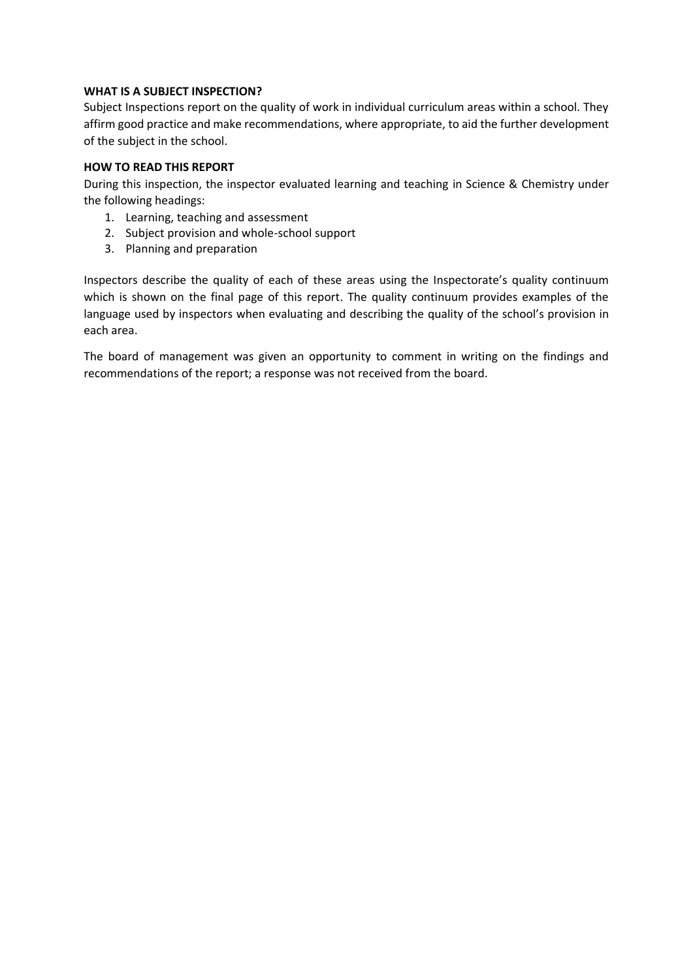### **WHAT IS A SUBJECT INSPECTION?**

Subject Inspections report on the quality of work in individual curriculum areas within a school. They affirm good practice and make recommendations, where appropriate, to aid the further development of the subject in the school.

# **HOW TO READ THIS REPORT**

During this inspection, the inspector evaluated learning and teaching in Science & Chemistry under the following headings:

- 1. Learning, teaching and assessment
- 2. Subject provision and whole-school support
- 3. Planning and preparation

Inspectors describe the quality of each of these areas using the Inspectorate's quality continuum which is shown on the final page of this report. The quality continuum provides examples of the language used by inspectors when evaluating and describing the quality of the school's provision in each area.

The board of management was given an opportunity to comment in writing on the findings and recommendations of the report; a response was not received from the board.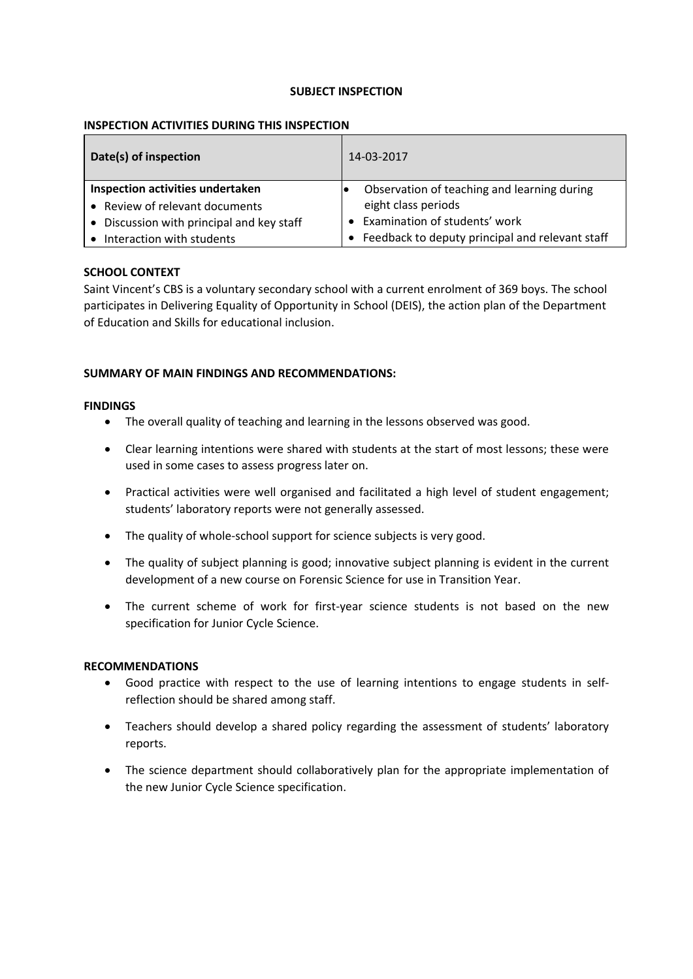#### **SUBJECT INSPECTION**

### **INSPECTION ACTIVITIES DURING THIS INSPECTION**

| Date(s) of inspection                     | 14-03-2017                                      |
|-------------------------------------------|-------------------------------------------------|
| Inspection activities undertaken          | Observation of teaching and learning during     |
| • Review of relevant documents            | eight class periods                             |
| • Discussion with principal and key staff | Examination of students' work                   |
| Interaction with students                 | Feedback to deputy principal and relevant staff |

#### **SCHOOL CONTEXT**

Saint Vincent's CBS is a voluntary secondary school with a current enrolment of 369 boys. The school participates in Delivering Equality of Opportunity in School (DEIS), the action plan of the Department of Education and Skills for educational inclusion.

#### **SUMMARY OF MAIN FINDINGS AND RECOMMENDATIONS:**

#### **FINDINGS**

- The overall quality of teaching and learning in the lessons observed was good.
- Clear learning intentions were shared with students at the start of most lessons; these were used in some cases to assess progress later on.
- Practical activities were well organised and facilitated a high level of student engagement; students' laboratory reports were not generally assessed.
- The quality of whole-school support for science subjects is very good.
- The quality of subject planning is good; innovative subject planning is evident in the current development of a new course on Forensic Science for use in Transition Year.
- The current scheme of work for first-year science students is not based on the new specification for Junior Cycle Science.

#### **RECOMMENDATIONS**

- Good practice with respect to the use of learning intentions to engage students in selfreflection should be shared among staff.
- Teachers should develop a shared policy regarding the assessment of students' laboratory reports.
- The science department should collaboratively plan for the appropriate implementation of the new Junior Cycle Science specification.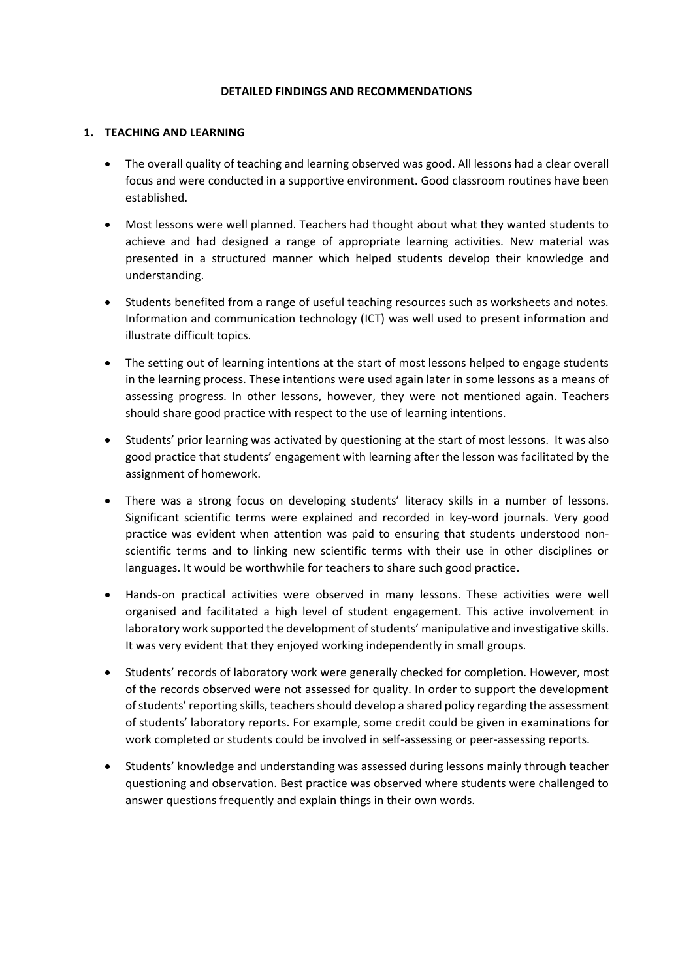#### **DETAILED FINDINGS AND RECOMMENDATIONS**

#### **1. TEACHING AND LEARNING**

- The overall quality of teaching and learning observed was good. All lessons had a clear overall focus and were conducted in a supportive environment. Good classroom routines have been established.
- Most lessons were well planned. Teachers had thought about what they wanted students to achieve and had designed a range of appropriate learning activities. New material was presented in a structured manner which helped students develop their knowledge and understanding.
- Students benefited from a range of useful teaching resources such as worksheets and notes. Information and communication technology (ICT) was well used to present information and illustrate difficult topics.
- The setting out of learning intentions at the start of most lessons helped to engage students in the learning process. These intentions were used again later in some lessons as a means of assessing progress. In other lessons, however, they were not mentioned again. Teachers should share good practice with respect to the use of learning intentions.
- Students' prior learning was activated by questioning at the start of most lessons. It was also good practice that students' engagement with learning after the lesson was facilitated by the assignment of homework.
- There was a strong focus on developing students' literacy skills in a number of lessons. Significant scientific terms were explained and recorded in key-word journals. Very good practice was evident when attention was paid to ensuring that students understood nonscientific terms and to linking new scientific terms with their use in other disciplines or languages. It would be worthwhile for teachers to share such good practice.
- Hands-on practical activities were observed in many lessons. These activities were well organised and facilitated a high level of student engagement. This active involvement in laboratory work supported the development of students' manipulative and investigative skills. It was very evident that they enjoyed working independently in small groups.
- Students' records of laboratory work were generally checked for completion. However, most of the records observed were not assessed for quality. In order to support the development of students' reporting skills, teachers should develop a shared policy regarding the assessment of students' laboratory reports. For example, some credit could be given in examinations for work completed or students could be involved in self-assessing or peer-assessing reports.
- Students' knowledge and understanding was assessed during lessons mainly through teacher questioning and observation. Best practice was observed where students were challenged to answer questions frequently and explain things in their own words.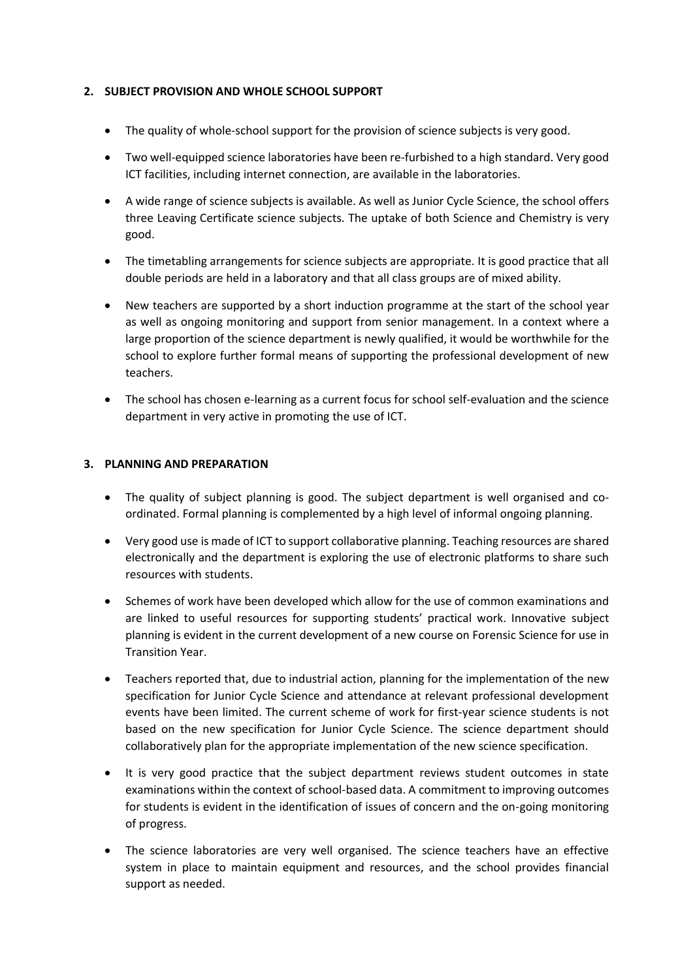# **2. SUBJECT PROVISION AND WHOLE SCHOOL SUPPORT**

- The quality of whole-school support for the provision of science subjects is very good.
- Two well-equipped science laboratories have been re-furbished to a high standard. Very good ICT facilities, including internet connection, are available in the laboratories.
- A wide range of science subjects is available. As well as Junior Cycle Science, the school offers three Leaving Certificate science subjects. The uptake of both Science and Chemistry is very good.
- The timetabling arrangements for science subjects are appropriate. It is good practice that all double periods are held in a laboratory and that all class groups are of mixed ability.
- New teachers are supported by a short induction programme at the start of the school year as well as ongoing monitoring and support from senior management. In a context where a large proportion of the science department is newly qualified, it would be worthwhile for the school to explore further formal means of supporting the professional development of new teachers.
- The school has chosen e-learning as a current focus for school self-evaluation and the science department in very active in promoting the use of ICT.

# **3. PLANNING AND PREPARATION**

- The quality of subject planning is good. The subject department is well organised and coordinated. Formal planning is complemented by a high level of informal ongoing planning.
- Very good use is made of ICT to support collaborative planning. Teaching resources are shared electronically and the department is exploring the use of electronic platforms to share such resources with students.
- Schemes of work have been developed which allow for the use of common examinations and are linked to useful resources for supporting students' practical work. Innovative subject planning is evident in the current development of a new course on Forensic Science for use in Transition Year.
- Teachers reported that, due to industrial action, planning for the implementation of the new specification for Junior Cycle Science and attendance at relevant professional development events have been limited. The current scheme of work for first-year science students is not based on the new specification for Junior Cycle Science. The science department should collaboratively plan for the appropriate implementation of the new science specification.
- It is very good practice that the subject department reviews student outcomes in state examinations within the context of school-based data. A commitment to improving outcomes for students is evident in the identification of issues of concern and the on-going monitoring of progress.
- The science laboratories are very well organised. The science teachers have an effective system in place to maintain equipment and resources, and the school provides financial support as needed.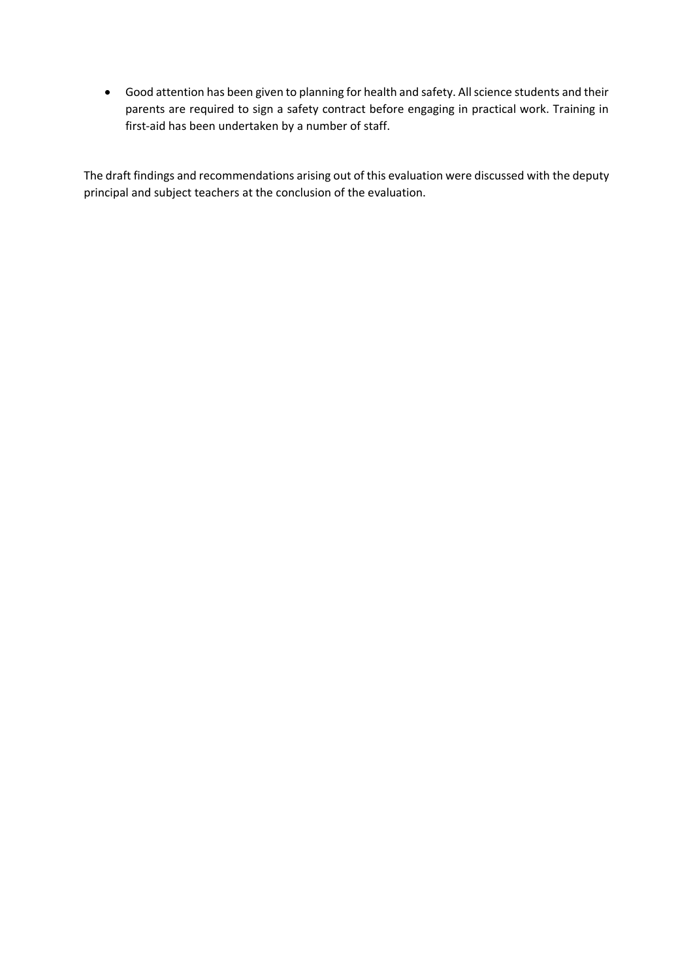Good attention has been given to planning for health and safety. All science students and their parents are required to sign a safety contract before engaging in practical work. Training in first-aid has been undertaken by a number of staff.

The draft findings and recommendations arising out of this evaluation were discussed with the deputy principal and subject teachers at the conclusion of the evaluation.